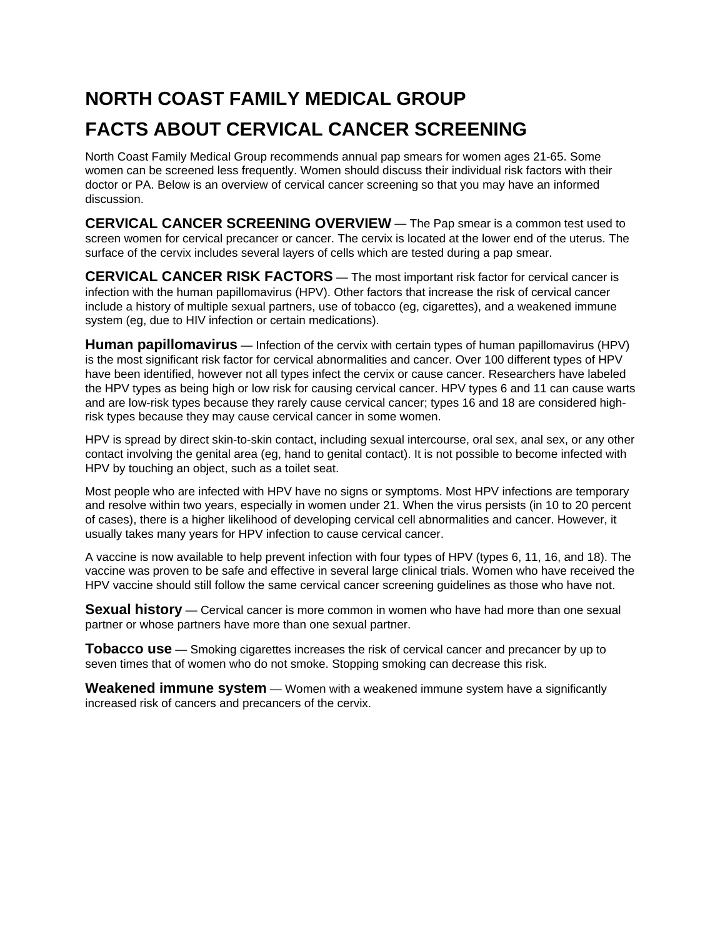## **NORTH COAST FAMILY MEDICAL GROUP FACTS ABOUT CERVICAL CANCER SCREENING**

North Coast Family Medical Group recommends annual pap smears for women ages 21-65. Some women can be screened less frequently. Women should discuss their individual risk factors with their doctor or PA. Below is an overview of cervical cancer screening so that you may have an informed discussion.

**CERVICAL CANCER SCREENING OVERVIEW** — The Pap smear is a common test used to screen women for cervical precancer or cancer. The cervix is located at the lower end of the uterus. The surface of the cervix includes several layers of cells which are tested during a pap smear.

**CERVICAL CANCER RISK FACTORS** — The most important risk factor for cervical cancer is infection with the human papillomavirus (HPV). Other factors that increase the risk of cervical cancer include a history of multiple sexual partners, use of tobacco (eg, cigarettes), and a weakened immune system (eg, due to HIV infection or certain medications).

**Human papillomavirus** — Infection of the cervix with certain types of human papillomavirus (HPV) is the most significant risk factor for cervical abnormalities and cancer. Over 100 different types of HPV have been identified, however not all types infect the cervix or cause cancer. Researchers have labeled the HPV types as being high or low risk for causing cervical cancer. HPV types 6 and 11 can cause warts and are low-risk types because they rarely cause cervical cancer; types 16 and 18 are considered highrisk types because they may cause cervical cancer in some women.

HPV is spread by direct skin-to-skin contact, including sexual intercourse, oral sex, anal sex, or any other contact involving the genital area (eg, hand to genital contact). It is not possible to become infected with HPV by touching an object, such as a toilet seat.

Most people who are infected with HPV have no signs or symptoms. Most HPV infections are temporary and resolve within two years, especially in women under 21. When the virus persists (in 10 to 20 percent of cases), there is a higher likelihood of developing cervical cell abnormalities and cancer. However, it usually takes many years for HPV infection to cause cervical cancer.

A vaccine is now available to help prevent infection with four types of HPV (types 6, 11, 16, and 18). The vaccine was proven to be safe and effective in several large clinical trials. Women who have received the HPV vaccine should still follow the same cervical cancer screening guidelines as those who have not.

**Sexual history** — Cervical cancer is more common in women who have had more than one sexual partner or whose partners have more than one sexual partner.

**Tobacco use** — Smoking cigarettes increases the risk of cervical cancer and precancer by up to seven times that of women who do not smoke. Stopping smoking can decrease this risk.

**Weakened immune system** — Women with a weakened immune system have a significantly increased risk of cancers and precancers of the cervix.